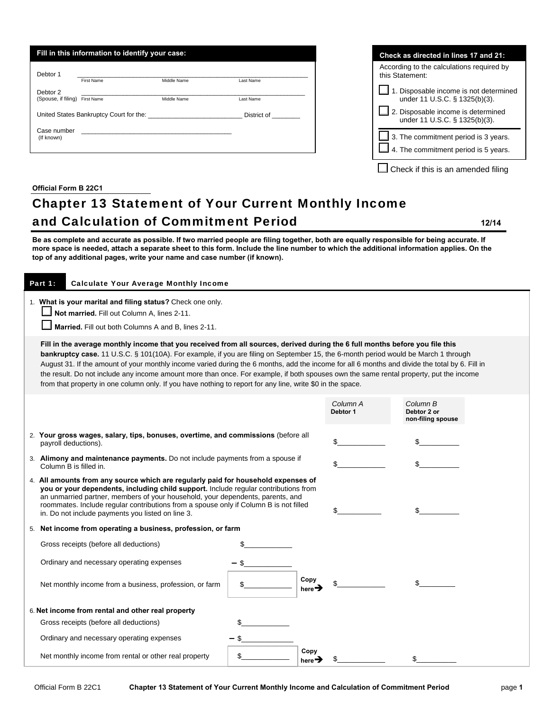| Fill in this information to identify your case:                                              |                                         |             |           |  |  |  |
|----------------------------------------------------------------------------------------------|-----------------------------------------|-------------|-----------|--|--|--|
| Debtor 1                                                                                     | First Name                              | Middle Name | Last Name |  |  |  |
| Debtor 2<br>(Spouse, if filing)                                                              | First Name                              | Middle Name | Last Name |  |  |  |
|                                                                                              | United States Bankruptcy Court for the: | District of |           |  |  |  |
| Case number<br><u> 1980 - Johann Barn, fransk politik amerikansk politik (</u><br>(If known) |                                         |             |           |  |  |  |

| Check as directed in lines 17 and 21:                                                      |  |  |  |  |  |  |  |
|--------------------------------------------------------------------------------------------|--|--|--|--|--|--|--|
| According to the calculations required by<br>this Statement:                               |  |  |  |  |  |  |  |
| 1. Disposable income is not determined<br>under 11 U.S.C. § 1325(b)(3).                    |  |  |  |  |  |  |  |
| 2. Disposable income is determined<br>under 11 U.S.C. § 1325(b)(3).                        |  |  |  |  |  |  |  |
| $\Box$ 3. The commitment period is 3 years.<br>$\Box$ 4. The commitment period is 5 years. |  |  |  |  |  |  |  |
| Check if this is an amended filing                                                         |  |  |  |  |  |  |  |

## **Official Form B 22C1**

## Chapter 13 Statement of Your Current Monthly Income and Calculation of Commitment Period **12/14**

**Be as complete and accurate as possible. If two married people are filing together, both are equally responsible for being accurate. If more space is needed, attach a separate sheet to this form. Include the line number to which the additional information applies. On the top of any additional pages, write your name and case number (if known).**

| Part 1:<br><b>Calculate Your Average Monthly Income</b>                                                                                                                                                                                                                                                                                                                                                                                                                                                                                                                                                                                                                      |  |                            |                      |                                              |  |  |  |
|------------------------------------------------------------------------------------------------------------------------------------------------------------------------------------------------------------------------------------------------------------------------------------------------------------------------------------------------------------------------------------------------------------------------------------------------------------------------------------------------------------------------------------------------------------------------------------------------------------------------------------------------------------------------------|--|----------------------------|----------------------|----------------------------------------------|--|--|--|
| 1. What is your marital and filing status? Check one only.<br>Not married. Fill out Column A, lines 2-11.<br>Married. Fill out both Columns A and B, lines 2-11.                                                                                                                                                                                                                                                                                                                                                                                                                                                                                                             |  |                            |                      |                                              |  |  |  |
| Fill in the average monthly income that you received from all sources, derived during the 6 full months before you file this<br>bankruptcy case. 11 U.S.C. § 101(10A). For example, if you are filing on September 15, the 6-month period would be March 1 through<br>August 31. If the amount of your monthly income varied during the 6 months, add the income for all 6 months and divide the total by 6. Fill in<br>the result. Do not include any income amount more than once. For example, if both spouses own the same rental property, put the income<br>from that property in one column only. If you have nothing to report for any line, write \$0 in the space. |  |                            |                      |                                              |  |  |  |
|                                                                                                                                                                                                                                                                                                                                                                                                                                                                                                                                                                                                                                                                              |  |                            | Column A<br>Debtor 1 | Column B<br>Debtor 2 or<br>non-filing spouse |  |  |  |
| 2. Your gross wages, salary, tips, bonuses, overtime, and commissions (before all<br>payroll deductions).                                                                                                                                                                                                                                                                                                                                                                                                                                                                                                                                                                    |  |                            |                      |                                              |  |  |  |
| 3. Alimony and maintenance payments. Do not include payments from a spouse if<br>Column B is filled in.                                                                                                                                                                                                                                                                                                                                                                                                                                                                                                                                                                      |  |                            |                      |                                              |  |  |  |
| 4. All amounts from any source which are regularly paid for household expenses of<br>you or your dependents, including child support. Include regular contributions from<br>an unmarried partner, members of your household, your dependents, parents, and<br>roommates. Include regular contributions from a spouse only if Column B is not filled<br>in. Do not include payments you listed on line 3.                                                                                                                                                                                                                                                                     |  |                            |                      |                                              |  |  |  |
| 5. Net income from operating a business, profession, or farm                                                                                                                                                                                                                                                                                                                                                                                                                                                                                                                                                                                                                 |  |                            |                      |                                              |  |  |  |
| Gross receipts (before all deductions)                                                                                                                                                                                                                                                                                                                                                                                                                                                                                                                                                                                                                                       |  |                            |                      |                                              |  |  |  |
| Ordinary and necessary operating expenses                                                                                                                                                                                                                                                                                                                                                                                                                                                                                                                                                                                                                                    |  |                            |                      |                                              |  |  |  |
| Net monthly income from a business, profession, or farm                                                                                                                                                                                                                                                                                                                                                                                                                                                                                                                                                                                                                      |  | Copy<br>here $\rightarrow$ |                      |                                              |  |  |  |
| 6. Net income from rental and other real property                                                                                                                                                                                                                                                                                                                                                                                                                                                                                                                                                                                                                            |  |                            |                      |                                              |  |  |  |
| Gross receipts (before all deductions)                                                                                                                                                                                                                                                                                                                                                                                                                                                                                                                                                                                                                                       |  |                            |                      |                                              |  |  |  |
| Ordinary and necessary operating expenses                                                                                                                                                                                                                                                                                                                                                                                                                                                                                                                                                                                                                                    |  |                            |                      |                                              |  |  |  |
| Net monthly income from rental or other real property                                                                                                                                                                                                                                                                                                                                                                                                                                                                                                                                                                                                                        |  | Copy<br>here $\rightarrow$ |                      | \$                                           |  |  |  |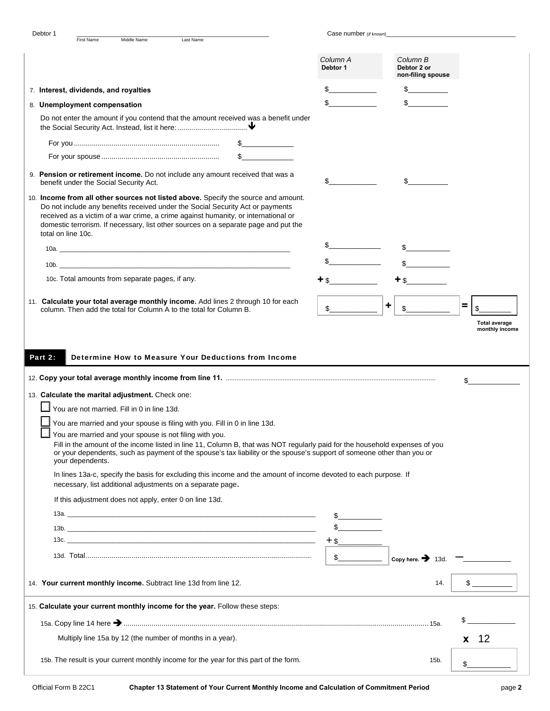| Debtor 1           |                                                  |             |                                                                                                                                                                                                     |                                                                                                                                                                                                                                                                                                                                                                           | Case number (if known) |                                              |                      |
|--------------------|--------------------------------------------------|-------------|-----------------------------------------------------------------------------------------------------------------------------------------------------------------------------------------------------|---------------------------------------------------------------------------------------------------------------------------------------------------------------------------------------------------------------------------------------------------------------------------------------------------------------------------------------------------------------------------|------------------------|----------------------------------------------|----------------------|
|                    | <b>First Name</b>                                | Middle Name | Last Name                                                                                                                                                                                           |                                                                                                                                                                                                                                                                                                                                                                           |                        |                                              |                      |
|                    |                                                  |             |                                                                                                                                                                                                     |                                                                                                                                                                                                                                                                                                                                                                           | Column A<br>Debtor 1   | Column B<br>Debtor 2 or<br>non-filing spouse |                      |
|                    | 7. Interest, dividends, and royalties            |             |                                                                                                                                                                                                     |                                                                                                                                                                                                                                                                                                                                                                           |                        |                                              |                      |
|                    | 8. Unemployment compensation                     |             |                                                                                                                                                                                                     |                                                                                                                                                                                                                                                                                                                                                                           |                        |                                              |                      |
|                    |                                                  |             |                                                                                                                                                                                                     | Do not enter the amount if you contend that the amount received was a benefit under                                                                                                                                                                                                                                                                                       |                        |                                              |                      |
|                    |                                                  |             |                                                                                                                                                                                                     |                                                                                                                                                                                                                                                                                                                                                                           |                        |                                              |                      |
|                    |                                                  |             |                                                                                                                                                                                                     |                                                                                                                                                                                                                                                                                                                                                                           |                        |                                              |                      |
|                    |                                                  |             |                                                                                                                                                                                                     |                                                                                                                                                                                                                                                                                                                                                                           |                        |                                              |                      |
|                    | benefit under the Social Security Act.           |             |                                                                                                                                                                                                     | 9. Pension or retirement income. Do not include any amount received that was a                                                                                                                                                                                                                                                                                            |                        |                                              |                      |
| total on line 10c. |                                                  |             |                                                                                                                                                                                                     | 10. Income from all other sources not listed above. Specify the source and amount.<br>Do not include any benefits received under the Social Security Act or payments<br>received as a victim of a war crime, a crime against humanity, or international or<br>domestic terrorism. If necessary, list other sources on a separate page and put the                         |                        |                                              |                      |
|                    |                                                  |             |                                                                                                                                                                                                     |                                                                                                                                                                                                                                                                                                                                                                           |                        |                                              |                      |
|                    |                                                  |             | 10b.                                                                                                                                                                                                |                                                                                                                                                                                                                                                                                                                                                                           |                        |                                              |                      |
|                    | 10c. Total amounts from separate pages, if any.  |             |                                                                                                                                                                                                     |                                                                                                                                                                                                                                                                                                                                                                           | ተ \$                   |                                              |                      |
|                    |                                                  |             |                                                                                                                                                                                                     |                                                                                                                                                                                                                                                                                                                                                                           |                        |                                              |                      |
|                    |                                                  |             | column. Then add the total for Column A to the total for Column B.                                                                                                                                  | 11. Calculate your total average monthly income. Add lines 2 through 10 for each                                                                                                                                                                                                                                                                                          | \$                     | ۰                                            | $\equiv$             |
|                    |                                                  |             |                                                                                                                                                                                                     |                                                                                                                                                                                                                                                                                                                                                                           |                        |                                              | <b>Total average</b> |
| Part 2:            |                                                  |             |                                                                                                                                                                                                     | Determine How to Measure Your Deductions from Income                                                                                                                                                                                                                                                                                                                      |                        |                                              | \$                   |
|                    | 13. Calculate the marital adjustment. Check one: |             |                                                                                                                                                                                                     |                                                                                                                                                                                                                                                                                                                                                                           |                        |                                              |                      |
|                    | You are not married. Fill in 0 in line 13d.      |             |                                                                                                                                                                                                     |                                                                                                                                                                                                                                                                                                                                                                           |                        |                                              |                      |
|                    | your dependents.                                 |             | You are married and your spouse is filing with you. Fill in 0 in line 13d.<br>You are married and your spouse is not filing with you.<br>necessary, list additional adjustments on a separate page. | Fill in the amount of the income listed in line 11, Column B, that was NOT regularly paid for the household expenses of you<br>or your dependents, such as payment of the spouse's tax liability or the spouse's support of someone other than you or<br>In lines 13a-c, specify the basis for excluding this income and the amount of income devoted to each purpose. If |                        |                                              |                      |
|                    |                                                  |             |                                                                                                                                                                                                     |                                                                                                                                                                                                                                                                                                                                                                           |                        |                                              |                      |
|                    |                                                  |             |                                                                                                                                                                                                     |                                                                                                                                                                                                                                                                                                                                                                           |                        |                                              |                      |
|                    |                                                  |             | If this adjustment does not apply, enter 0 on line 13d.                                                                                                                                             |                                                                                                                                                                                                                                                                                                                                                                           |                        |                                              |                      |
|                    |                                                  |             |                                                                                                                                                                                                     |                                                                                                                                                                                                                                                                                                                                                                           |                        |                                              |                      |
|                    |                                                  |             |                                                                                                                                                                                                     | $13b.$ $\qquad \qquad$                                                                                                                                                                                                                                                                                                                                                    |                        |                                              |                      |
|                    |                                                  |             |                                                                                                                                                                                                     |                                                                                                                                                                                                                                                                                                                                                                           |                        |                                              |                      |
|                    |                                                  |             |                                                                                                                                                                                                     |                                                                                                                                                                                                                                                                                                                                                                           | s                      | Copy here. $\rightarrow$ 13d. –              |                      |
|                    |                                                  |             | 14. Your current monthly income. Subtract line 13d from line 12.                                                                                                                                    |                                                                                                                                                                                                                                                                                                                                                                           |                        | 14.                                          | $\frac{1}{2}$        |
|                    |                                                  |             | 15. Calculate your current monthly income for the year. Follow these steps:                                                                                                                         |                                                                                                                                                                                                                                                                                                                                                                           |                        |                                              |                      |
|                    |                                                  |             |                                                                                                                                                                                                     |                                                                                                                                                                                                                                                                                                                                                                           |                        |                                              | $\mathbb{S}$         |
|                    |                                                  |             | Multiply line 15a by 12 (the number of months in a year).                                                                                                                                           |                                                                                                                                                                                                                                                                                                                                                                           |                        |                                              | $x$ 12               |